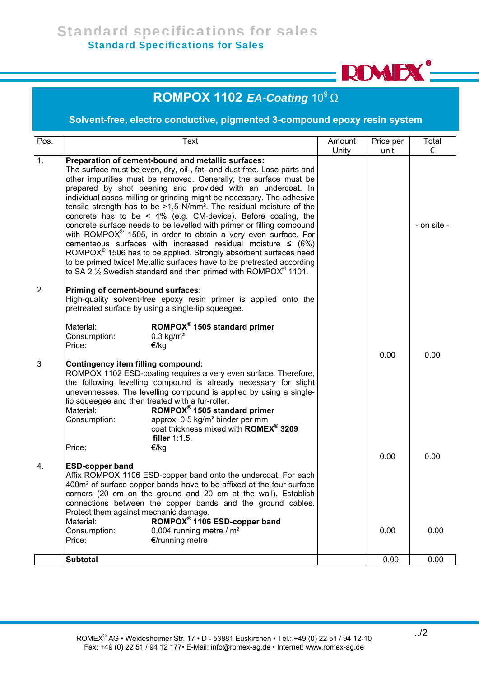Ī.



## **ROMPOX 1102** *EA-Coating* 10<sup>9</sup> Ω

## **Solvent-free, electro conductive, pigmented 3-compound epoxy resin system**

| Pos.           |                                                                                                                                                                                                                                                                                                                                                                                                                                                                                                                                                                                                                                                                                                                                                                                                                                                                                                                                                                                    | Text                                                                                                                                                                                                                                                                                                                                                                              | Amount<br>Unity | Price per<br>unit | Total<br>€  |
|----------------|------------------------------------------------------------------------------------------------------------------------------------------------------------------------------------------------------------------------------------------------------------------------------------------------------------------------------------------------------------------------------------------------------------------------------------------------------------------------------------------------------------------------------------------------------------------------------------------------------------------------------------------------------------------------------------------------------------------------------------------------------------------------------------------------------------------------------------------------------------------------------------------------------------------------------------------------------------------------------------|-----------------------------------------------------------------------------------------------------------------------------------------------------------------------------------------------------------------------------------------------------------------------------------------------------------------------------------------------------------------------------------|-----------------|-------------------|-------------|
| $\mathbf{1}$ . | Preparation of cement-bound and metallic surfaces:<br>The surface must be even, dry, oil-, fat- and dust-free. Lose parts and<br>other impurities must be removed. Generally, the surface must be<br>prepared by shot peening and provided with an undercoat. In<br>individual cases milling or grinding might be necessary. The adhesive<br>tensile strength has to be $>1.5$ N/mm <sup>2</sup> . The residual moisture of the<br>concrete has to be $\leq$ 4% (e.g. CM-device). Before coating, the<br>concrete surface needs to be levelled with primer or filling compound<br>with ROMPOX <sup>®</sup> 1505, in order to obtain a very even surface. For<br>cementeous surfaces with increased residual moisture $\leq$ (6%)<br>ROMPOX <sup>®</sup> 1506 has to be applied. Strongly absorbent surfaces need<br>to be primed twice! Metallic surfaces have to be pretreated according<br>to SA 2 $\frac{1}{2}$ Swedish standard and then primed with ROMPOX <sup>®</sup> 1101. |                                                                                                                                                                                                                                                                                                                                                                                   |                 |                   | - on site - |
| 2.             | Priming of cement-bound surfaces:<br>Material:<br>Consumption:<br>Price:                                                                                                                                                                                                                                                                                                                                                                                                                                                                                                                                                                                                                                                                                                                                                                                                                                                                                                           | High-quality solvent-free epoxy resin primer is applied onto the<br>pretreated surface by using a single-lip squeegee.<br>ROMPOX <sup>®</sup> 1505 standard primer<br>$0.3$ kg/m <sup>2</sup><br>€/kg                                                                                                                                                                             |                 |                   |             |
| 3              | <b>Contingency item filling compound:</b><br>lip squeegee and then treated with a fur-roller.<br>Material:<br>Consumption:                                                                                                                                                                                                                                                                                                                                                                                                                                                                                                                                                                                                                                                                                                                                                                                                                                                         | ROMPOX 1102 ESD-coating requires a very even surface. Therefore,<br>the following levelling compound is already necessary for slight<br>unevennesses. The levelling compound is applied by using a single-<br>ROMPOX <sup>®</sup> 1505 standard primer<br>approx. 0.5 kg/m <sup>2</sup> binder per mm<br>coat thickness mixed with <b>ROMEX<sup>®</sup> 3209</b><br>filler 1:1.5. |                 | 0.00              | 0.00        |
| 4.             | Price:<br>€/kg<br><b>ESD-copper band</b><br>Affix ROMPOX 1106 ESD-copper band onto the undercoat. For each<br>400m <sup>2</sup> of surface copper bands have to be affixed at the four surface<br>corners (20 cm on the ground and 20 cm at the wall). Establish<br>connections between the copper bands and the ground cables.<br>Protect them against mechanic damage.                                                                                                                                                                                                                                                                                                                                                                                                                                                                                                                                                                                                           |                                                                                                                                                                                                                                                                                                                                                                                   |                 | 0.00              | 0.00        |
|                | Material:<br>Consumption:<br>Price:                                                                                                                                                                                                                                                                                                                                                                                                                                                                                                                                                                                                                                                                                                                                                                                                                                                                                                                                                | ROMPOX <sup>®</sup> 1106 ESD-copper band<br>0,004 running metre / $m2$<br>€/running metre                                                                                                                                                                                                                                                                                         |                 | 0.00              | 0.00        |
|                | <b>Subtotal</b>                                                                                                                                                                                                                                                                                                                                                                                                                                                                                                                                                                                                                                                                                                                                                                                                                                                                                                                                                                    |                                                                                                                                                                                                                                                                                                                                                                                   |                 | 0.00              | 0.00        |